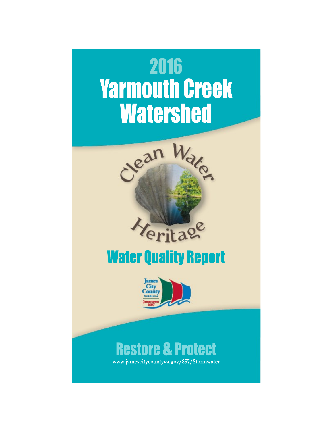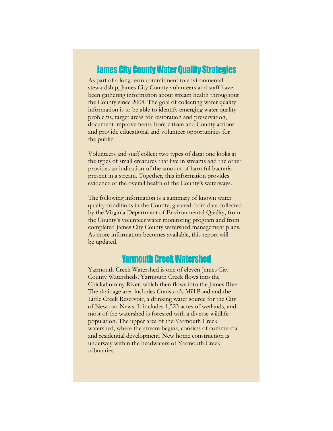#### **James City County Water Quality Strategies**

As part of a long term commitment to environmental stewardship, James City County volunteers and staff have been gathering information about stream health throughout the County since 2008. The goal of collecting water quality information is to be able to identify emerging water quality problems, target areas for restoration and preservation, document improvements from citizen and County actions and provide educational and volunteer opportunities for the public.

Volunteers and staff collect two types of data: one looks at the types of small creatures that live in streams and the other provides an indication of the amount of harmful bacteria present in a stream. Together, this information provides evidence of the overall health of the County's waterways.

The following information is a summary of known water quality conditions in the County, gleaned from data collected by the Virginia Department of Environmental Quality, from the County's volunteer water monitoring program and from completed James City County watershed management plans. As more information becomes available, this report will be updated.

# **Yarmouth Creek Watershed**

Yarmouth Creek Watershed is one of eleven James City County Watersheds. Yarmouth Creek flows into the Chickahominy River, which then flows into the James River. The drainage area includes Cranston's Mill Pond and the Little Creek Reservoir, a drinking water source for the City of Newport News. It includes 1,523 acres of wetlands, and most of the watershed is forested with a diverse wildlife population. The upper area of the Yarmouth Creek watershed, where the stream begins, consists of commercial and residential development. New home construction is underway within the headwaters of Yarmouth Creek tributaries.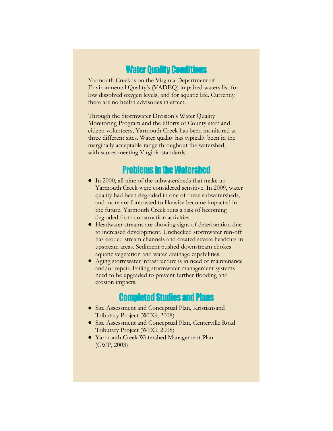#### **Water Quality Conditions**

Yarmouth Creek is on the Virginia Department of Environmental Quality's (VADEQ) impaired waters list for low dissolved oxygen levels, and for aquatic life. Currently there are no health advisories in effect.

Through the Stormwater Division's Water Quality Monitoring Program and the efforts of County staff and citizen volunteers, Yarmouth Creek has been monitored at three different sites. Water quality has typically been in the marginally acceptable range throughout the watershed, with scores meeting Virginia standards.

## **Problems in the Watershed**

- In 2000, all nine of the subwatersheds that make up Yarmouth Creek were considered sensitive. In 2009, water quality had been degraded in one of these subwatersheds, and more are forecasted to likewise become impacted in the future. Yarmouth Creek runs a risk of becoming degraded from construction activities.
- Headwater streams are showing signs of deterioration due to increased development. Unchecked stormwater run-off has eroded stream channels and created severe headcuts in upstream areas. Sediment pushed downstream chokes aquatic vegetation and water drainage capabilities.
- Aging stormwater infrastructure is in need of maintenance and/or repair. Failing stormwater management systems need to be upgraded to prevent further flooding and erosion impacts.

# **Completed Studies and Plans**

- Site Assessment and Conceptual Plan, Kristiansand Tributary Project (WEG, 2008)
- Site Assessment and Conceptual Plan, Centerville Road Tributary Project (WEG, 2008)
- Yarmouth Creek Watershed Management Plan (CWP, 2003)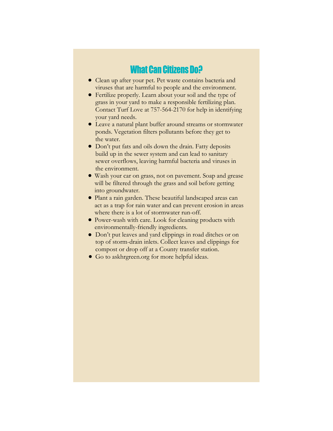### **What Can Citizens Do?**

- Clean up after your pet. Pet waste contains bacteria and viruses that are harmful to people and the environment.
- Fertilize properly. Learn about your soil and the type of grass in your yard to make a responsible fertilizing plan. Contact Turf Love at 757-564-2170 for help in identifying your yard needs.
- Leave a natural plant buffer around streams or stormwater ponds. Vegetation filters pollutants before they get to the water.
- Don't put fats and oils down the drain. Fatty deposits build up in the sewer system and can lead to sanitary sewer overflows, leaving harmful bacteria and viruses in the environment.
- Wash your car on grass, not on pavement. Soap and grease will be filtered through the grass and soil before getting into groundwater.
- Plant a rain garden. These beautiful landscaped areas can act as a trap for rain water and can prevent erosion in areas where there is a lot of stormwater run-off.
- Power-wash with care. Look for cleaning products with environmentally-friendly ingredients.
- Don't put leaves and yard clippings in road ditches or on top of storm-drain inlets. Collect leaves and clippings for compost or drop off at a County transfer station.
- Go to askhrgreen.org for more helpful ideas.